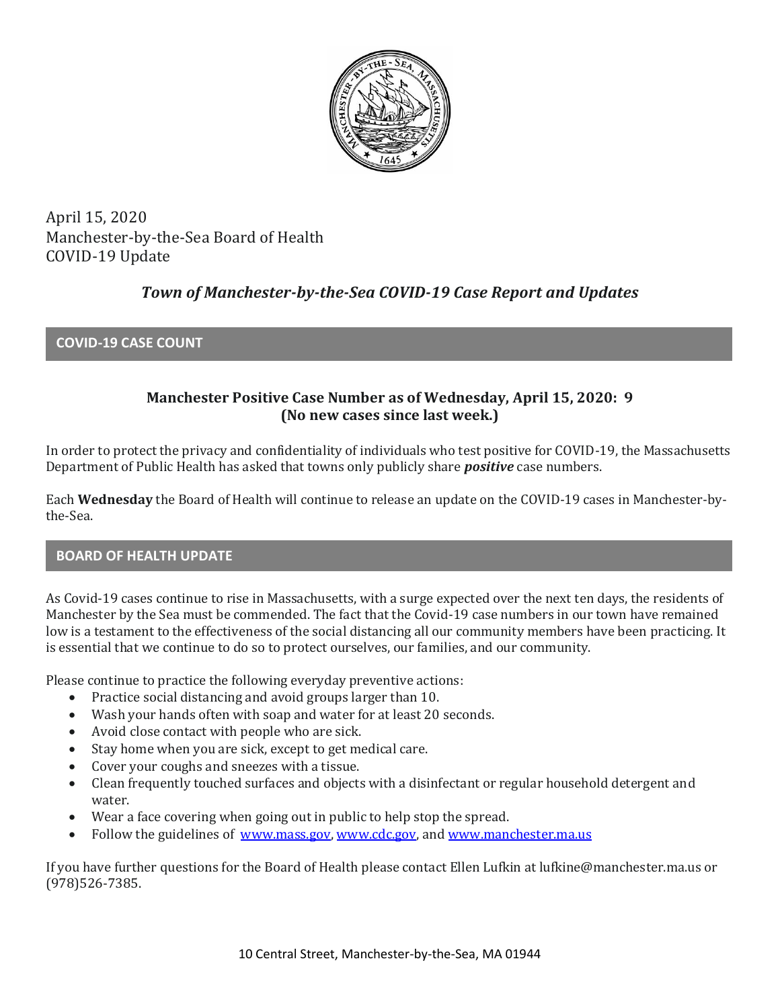

April 15, 2020 Manchester-by-the-Sea Board of Health COVID-19 Update

# *Town of Manchester-by-the-Sea COVID-19 Case Report and Updates*

## **COVID-19 CASE COUNT**

## **Manchester Positive Case Number as of Wednesday, April 15, 2020: 9 (No new cases since last week.)**

In order to protect the privacy and confidentiality of individuals who test positive for COVID-19, the Massachusetts Department of Public Health has asked that towns only publicly share *positive* case numbers.

Each **Wednesday** the Board of Health will continue to release an update on the COVID-19 cases in Manchester-bythe-Sea.

### **BOARD OF HEALTH UPDATE**

As Covid-19 cases continue to rise in Massachusetts, with a surge expected over the next ten days, the residents of Manchester by the Sea must be commended. The fact that the Covid-19 case numbers in our town have remained low is a testament to the effectiveness of the social distancing all our community members have been practicing. It is essential that we continue to do so to protect ourselves, our families, and our community.

Please continue to practice the following everyday preventive actions:

- Practice social distancing and avoid groups larger than 10.
- Wash your hands often with soap and water for at least 20 seconds.
- Avoid close contact with people who are sick.
- Stay home when you are sick, except to get medical care.
- Cover your coughs and sneezes with a tissue.
- Clean frequently touched surfaces and objects with a disinfectant or regular household detergent and water.
- Wear a face covering when going out in public to help stop the spread.
- Follow the guidelines of [www.mass.gov,](https://www.mass.gov/) [www.cdc.gov,](https://www.cdc.gov/) and [www.manchester.ma.us](http://www.manchester.ma.us/)

If you have further questions for the Board of Health please contact Ellen Lufkin at lufkine@manchester.ma.us or (978)526-7385.